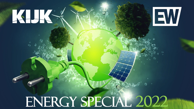# ENERGY SPECIAL 2022

KHKY

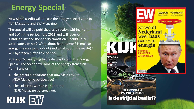## **Energy Special**

**New Skool Media** will release the Energy Special 2022 in KIJK Magazine and EW Magazine.

The special will be published as a section withing KIJK and EW in the period: **July 2022** and will focus on sustainability and the energy transition. Should I buy solar panels or not? What about heat pumps? Is nuclear energy the way to go or not (and what about the waste)? Will hydrogen play a role or not?

KIJK and EW are going to create clarity with this Energy Special. The section will look at the energy transition from 2 angles:

- 1. the practical solutions that now yield results (EW Magazine perspective)
- 2. the solutions we see in the future (KIJK Magazine perspective).



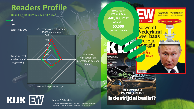## **Readers Profile**

Based on selectivity EW and KIJK \*

Kijk

EW

selectivity 100

strong interest in science and engineering

500 25+ years, own net income €5000.- and more

> 25+ years, high social class, interested in personal finance

renovation plans next year

 $\Theta$ 

100

200

300

400

# KIJK EW

#### Source: NPDM 2021

*\*) The selectivity index indicates how specific the target audience is represented in the reader group of EW and KIJK (base= 100)*

#### **FLIJK EDWARD BERNAYS: DE<br>GODFATHER VAN DE PR** OERKNALMODEL<br>HOOFDPIJNDOSSIER<br>VOOR ASTRONOMEN **BALLONNEN BOVEN IET SLAGVELD**  $R$ 1500 $m$ m 002 ELEKTRISCH<br>VS. WATERSTOF Is de strijd al beslist?

**Gross reach**

**of which**

**60,500** 

**IJF DOORVRAGEN** 

#### De Nederlandse **EW and Kijk: Opstand tegen** Spanie herdacht **440,700 m/f EEKBLAD** Zo wordt **business reach Nederland** weer **baas** ' ziin ær energie

.<br>Iummer 12 - 785te Jaargang - 26 Maart 2022 - C 6,99

**Mariëtte Hamer over** de oplossing voor

tekort aan personeel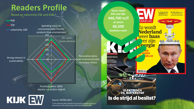### **Readers Profile**

Based on selectivity EW and KIJK \*

Spending more on environmentally friendly products than environment EW selectivity 100

Strong interest in sustainability

Kijk

Purchase plans 100% electric car and/or Hybrid

 $\theta$ 

50

100

150

200

250

KIJK EW

#### Source: NPDM 2021

25+ years, house ownerse

*\*) The selectivity index indicates how specific the target audience is represented in the reader group of EW and KIJK (base= 100)*

Renovation plans with environmentally conscious choice

#### **IJF DOORVRAGEN FLIJK EDWARD BERNAYS: DE<br>GODFATHER VAN DE PR** ERKNALMODEL **TOOFDPIJNDOSSIER<br>/OOR ASTRONOMEN BALLONNEN BOVEN IET SLAGVELD**  $R$  1500 $m$ m 002 ELEKTRISCH<br>VS. WATERSTOF Is de strijd al beslist?

**440,700 m/f EEKBLAD** Zo wordt **business reach**ær

**Gross reach EW and Kijk:**

**of which**

**60,500** 

' ziin erergie

**Nederland** weer **baas** 

De Nederlandse **Mariëtte Hamer over Opstand tegen** de oplossing voor Spanie herdacht tekort aan personeel

.<br>IUMMER 12 - 785TE JAARGANG - 26 MAART 2022 - C 6,99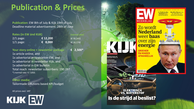## **Publication & Prices**

**Publication**: EW 8th of July & Kijk 19th of July Deadline material advertisement: 28th of June

| Rates (in EW ánd KIJK) |  |          |  | (normal rate) |
|------------------------|--|----------|--|---------------|
| $2/1$ page:            |  | € 12,200 |  | (E 30, 245)   |
| $1/1$ page:            |  | € 8,000  |  | (E 16, 174)   |

**Your story online + newsletter package € 2,500\*** 1x article online, and 1x advertorial in newsletter EW, and 1x advertorial in newsletter Kijk, and 1x advertorial in EW bulletin Total reach newsletter subscribers: 190,097 \*) normal rate: € 7,850.

**Other media:** Tailormade solutions based KPI/budget

All prices excl. VAT